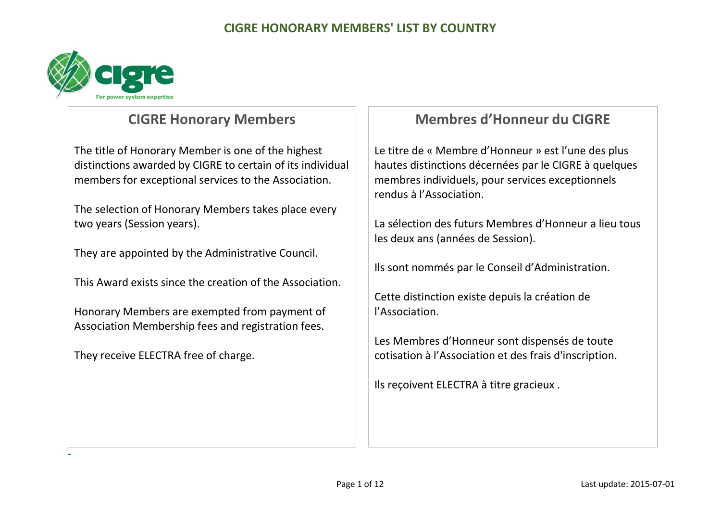

## **CIGRE Honorary Members**

The title of Honorary Member is one of the highest distinctions awarded by CIGRE to certain of its individual members for exceptional services to the Association.

The selection of Honorary Members takes place every two years (Session years).

They are appointed by the Administrative Council.

This Award exists since the creation of the Association.

Honorary Members are exempted from payment of Association Membership fees and registration fees.

They receive ELECTRA free of charge.

# **Membres d'Honneur du CIGRE**

Le titre de « Membre d'Honneur » est l'une des plus hautes distinctions décernées par le CIGRE à quelques membres individuels, pour services exceptionnels rendus à l'Association.

La sélection des futurs Membres d'Honneur a lieu tous les deux ans (années de Session).

Ils sont nommés par le Conseil d'Administration.

Cette distinction existe depuis la création de l'Association.

Les Membres d'Honneur sont dispensés de toute cotisation à l'Association et des frais d'inscription.

Ils reçoivent ELECTRA à titre gracieux .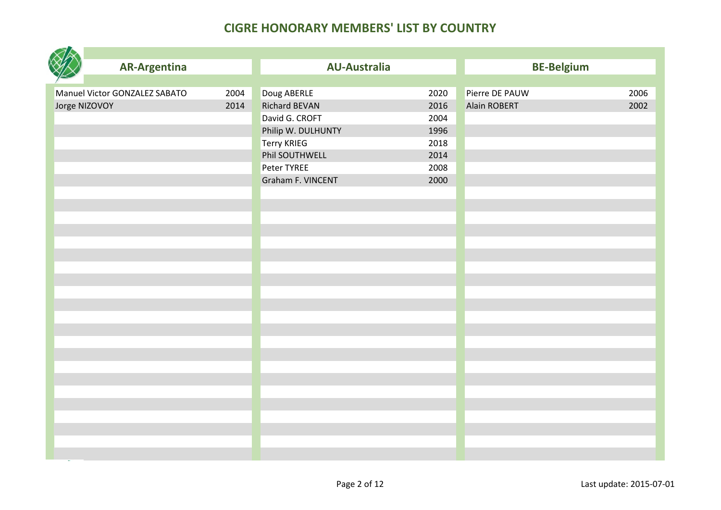|               | <b>AR-Argentina</b>           |      | <b>AU-Australia</b>  |      | <b>BE-Belgium</b> |      |
|---------------|-------------------------------|------|----------------------|------|-------------------|------|
|               |                               |      |                      |      |                   |      |
|               | Manuel Victor GONZALEZ SABATO | 2004 | Doug ABERLE          | 2020 | Pierre DE PAUW    | 2006 |
| Jorge NIZOVOY |                               | 2014 | <b>Richard BEVAN</b> | 2016 | Alain ROBERT      | 2002 |
|               |                               |      | David G. CROFT       | 2004 |                   |      |
|               |                               |      | Philip W. DULHUNTY   | 1996 |                   |      |
|               |                               |      | Terry KRIEG          | 2018 |                   |      |
|               |                               |      | Phil SOUTHWELL       | 2014 |                   |      |
|               |                               |      | Peter TYREE          | 2008 |                   |      |
|               |                               |      | Graham F. VINCENT    | 2000 |                   |      |
|               |                               |      |                      |      |                   |      |
|               |                               |      |                      |      |                   |      |
|               |                               |      |                      |      |                   |      |
|               |                               |      |                      |      |                   |      |
|               |                               |      |                      |      |                   |      |
|               |                               |      |                      |      |                   |      |
|               |                               |      |                      |      |                   |      |
|               |                               |      |                      |      |                   |      |
|               |                               |      |                      |      |                   |      |
|               |                               |      |                      |      |                   |      |
|               |                               |      |                      |      |                   |      |
|               |                               |      |                      |      |                   |      |
|               |                               |      |                      |      |                   |      |
|               |                               |      |                      |      |                   |      |
|               |                               |      |                      |      |                   |      |
|               |                               |      |                      |      |                   |      |
|               |                               |      |                      |      |                   |      |
|               |                               |      |                      |      |                   |      |
|               |                               |      |                      |      |                   |      |
|               |                               |      |                      |      |                   |      |
|               |                               |      |                      |      |                   |      |
|               |                               |      |                      |      |                   |      |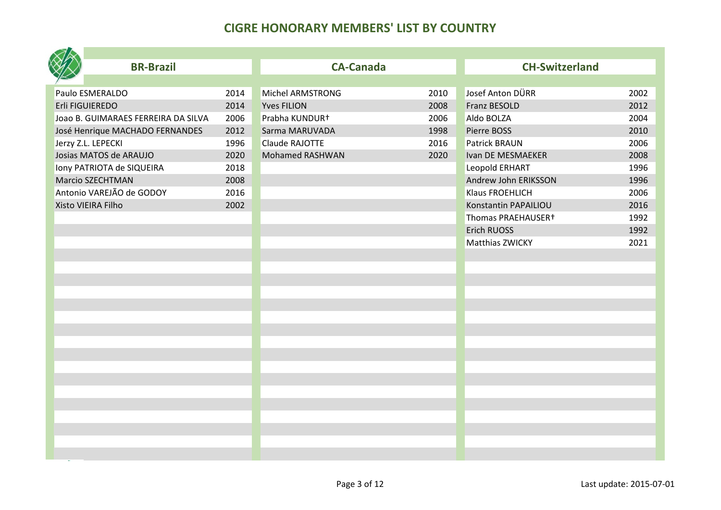| <b>BR-Brazil</b>                    |      | <b>CA-Canada</b>   |      | <b>CH-Switzerland</b> |      |
|-------------------------------------|------|--------------------|------|-----------------------|------|
|                                     |      |                    |      |                       |      |
| Paulo ESMERALDO                     | 2014 | Michel ARMSTRONG   | 2010 | Josef Anton DÜRR      | 2002 |
| Erli FIGUIEREDO                     | 2014 | <b>Yves FILION</b> | 2008 | <b>Franz BESOLD</b>   | 2012 |
| Joao B. GUIMARAES FERREIRA DA SILVA | 2006 | Prabha KUNDUR+     | 2006 | Aldo BOLZA            | 2004 |
| José Henrique MACHADO FERNANDES     | 2012 | Sarma MARUVADA     | 1998 | Pierre BOSS           | 2010 |
| Jerzy Z.L. LEPECKI                  | 1996 | Claude RAJOTTE     | 2016 | <b>Patrick BRAUN</b>  | 2006 |
| Josias MATOS de ARAUJO              | 2020 | Mohamed RASHWAN    | 2020 | Ivan DE MESMAEKER     | 2008 |
| Iony PATRIOTA de SIQUEIRA           | 2018 |                    |      | Leopold ERHART        | 1996 |
| <b>Marcio SZECHTMAN</b>             | 2008 |                    |      | Andrew John ERIKSSON  | 1996 |
| Antonio VAREJÃO de GODOY            | 2016 |                    |      | Klaus FROEHLICH       | 2006 |
| Xisto VIEIRA Filho                  | 2002 |                    |      | Konstantin PAPAILIOU  | 2016 |
|                                     |      |                    |      | Thomas PRAEHAUSER+    | 1992 |
|                                     |      |                    |      | <b>Erich RUOSS</b>    | 1992 |
|                                     |      |                    |      | Matthias ZWICKY       | 2021 |
|                                     |      |                    |      |                       |      |
|                                     |      |                    |      |                       |      |
|                                     |      |                    |      |                       |      |
|                                     |      |                    |      |                       |      |
|                                     |      |                    |      |                       |      |
|                                     |      |                    |      |                       |      |
|                                     |      |                    |      |                       |      |
|                                     |      |                    |      |                       |      |
|                                     |      |                    |      |                       |      |
|                                     |      |                    |      |                       |      |
|                                     |      |                    |      |                       |      |
|                                     |      |                    |      |                       |      |
|                                     |      |                    |      |                       |      |
|                                     |      |                    |      |                       |      |
|                                     |      |                    |      |                       |      |
|                                     |      |                    |      |                       |      |
|                                     |      |                    |      |                       |      |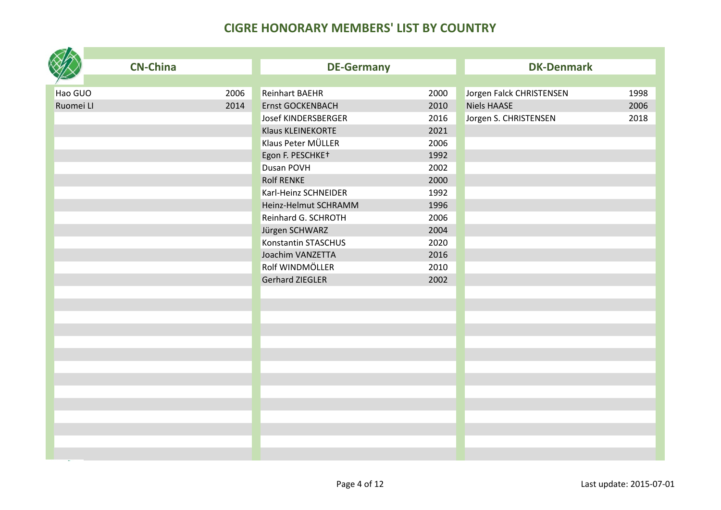|           | <b>CN-China</b> | <b>DE-Germany</b>       |      | <b>DK-Denmark</b>        |      |
|-----------|-----------------|-------------------------|------|--------------------------|------|
|           |                 |                         |      |                          |      |
| Hao GUO   | 2006            | <b>Reinhart BAEHR</b>   | 2000 | Jorgen Falck CHRISTENSEN | 1998 |
| Ruomei LI | 2014            | <b>Ernst GOCKENBACH</b> | 2010 | <b>Niels HAASE</b>       | 2006 |
|           |                 | Josef KINDERSBERGER     | 2016 | Jorgen S. CHRISTENSEN    | 2018 |
|           |                 | Klaus KLEINEKORTE       | 2021 |                          |      |
|           |                 | Klaus Peter MÜLLER      | 2006 |                          |      |
|           |                 | Egon F. PESCHKE+        | 1992 |                          |      |
|           |                 | Dusan POVH              | 2002 |                          |      |
|           |                 | <b>Rolf RENKE</b>       | 2000 |                          |      |
|           |                 | Karl-Heinz SCHNEIDER    | 1992 |                          |      |
|           |                 | Heinz-Helmut SCHRAMM    | 1996 |                          |      |
|           |                 | Reinhard G. SCHROTH     | 2006 |                          |      |
|           |                 | Jürgen SCHWARZ          | 2004 |                          |      |
|           |                 | Konstantin STASCHUS     | 2020 |                          |      |
|           |                 | Joachim VANZETTA        | 2016 |                          |      |
|           |                 | Rolf WINDMÖLLER         | 2010 |                          |      |
|           |                 | <b>Gerhard ZIEGLER</b>  | 2002 |                          |      |
|           |                 |                         |      |                          |      |
|           |                 |                         |      |                          |      |
|           |                 |                         |      |                          |      |
|           |                 |                         |      |                          |      |
|           |                 |                         |      |                          |      |
|           |                 |                         |      |                          |      |
|           |                 |                         |      |                          |      |
|           |                 |                         |      |                          |      |
|           |                 |                         |      |                          |      |
|           |                 |                         |      |                          |      |
|           |                 |                         |      |                          |      |
|           |                 |                         |      |                          |      |
|           |                 |                         |      |                          |      |
|           |                 |                         |      |                          |      |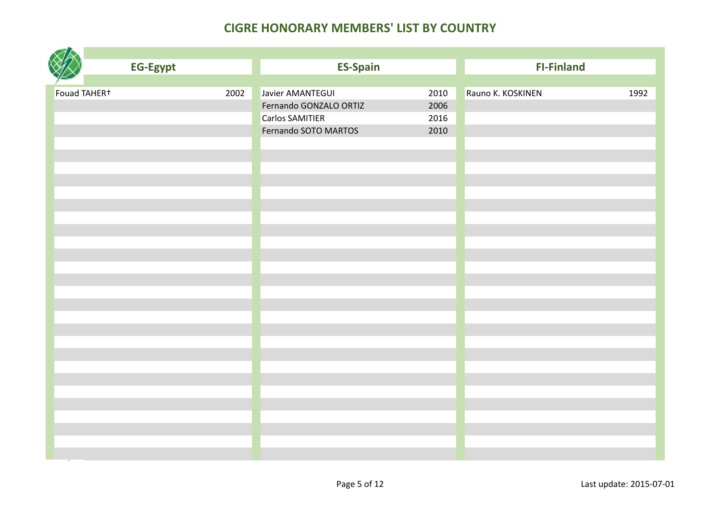|              | <b>EG-Egypt</b> |      | <b>ES-Spain</b>        |      | <b>FI-Finland</b> |      |
|--------------|-----------------|------|------------------------|------|-------------------|------|
|              |                 |      |                        |      |                   |      |
| Fouad TAHER+ |                 | 2002 | Javier AMANTEGUI       | 2010 | Rauno K. KOSKINEN | 1992 |
|              |                 |      | Fernando GONZALO ORTIZ | 2006 |                   |      |
|              |                 |      | <b>Carlos SAMITIER</b> | 2016 |                   |      |
|              |                 |      | Fernando SOTO MARTOS   | 2010 |                   |      |
|              |                 |      |                        |      |                   |      |
|              |                 |      |                        |      |                   |      |
|              |                 |      |                        |      |                   |      |
|              |                 |      |                        |      |                   |      |
|              |                 |      |                        |      |                   |      |
|              |                 |      |                        |      |                   |      |
|              |                 |      |                        |      |                   |      |
|              |                 |      |                        |      |                   |      |
|              |                 |      |                        |      |                   |      |
|              |                 |      |                        |      |                   |      |
|              |                 |      |                        |      |                   |      |
|              |                 |      |                        |      |                   |      |
|              |                 |      |                        |      |                   |      |
|              |                 |      |                        |      |                   |      |
|              |                 |      |                        |      |                   |      |
|              |                 |      |                        |      |                   |      |
|              |                 |      |                        |      |                   |      |
|              |                 |      |                        |      |                   |      |
|              |                 |      |                        |      |                   |      |
|              |                 |      |                        |      |                   |      |
|              |                 |      |                        |      |                   |      |
|              |                 |      |                        |      |                   |      |
|              |                 |      |                        |      |                   |      |
|              |                 |      |                        |      |                   |      |
|              |                 |      |                        |      |                   |      |
|              |                 |      |                        |      |                   |      |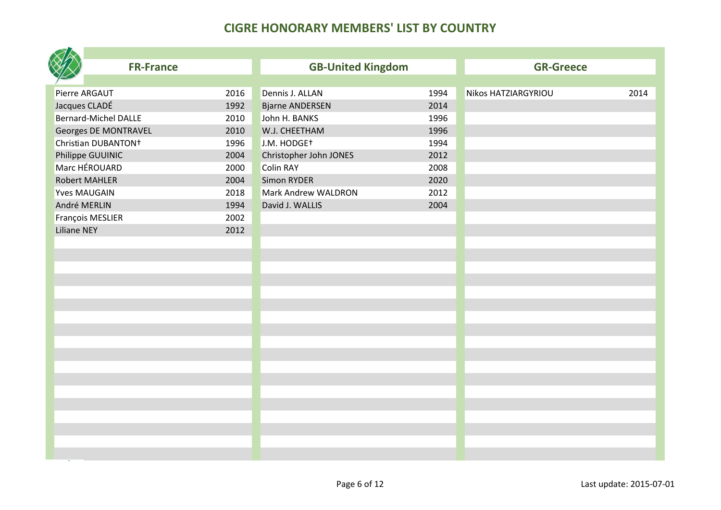| <b>FR-France</b>                |      | <b>GB-United Kingdom</b> |      | <b>GR-Greece</b>    |      |
|---------------------------------|------|--------------------------|------|---------------------|------|
|                                 |      |                          |      |                     |      |
| Pierre ARGAUT                   | 2016 | Dennis J. ALLAN          | 1994 | Nikos HATZIARGYRIOU | 2014 |
| Jacques CLADÉ                   | 1992 | <b>Bjarne ANDERSEN</b>   | 2014 |                     |      |
| <b>Bernard-Michel DALLE</b>     | 2010 | John H. BANKS            | 1996 |                     |      |
| Georges DE MONTRAVEL            | 2010 | W.J. CHEETHAM            | 1996 |                     |      |
| Christian DUBANTON <sup>+</sup> | 1996 | J.M. HODGE <sup>+</sup>  | 1994 |                     |      |
| Philippe GUUINIC                | 2004 | Christopher John JONES   | 2012 |                     |      |
| Marc HÉROUARD                   | 2000 | <b>Colin RAY</b>         | 2008 |                     |      |
| <b>Robert MAHLER</b>            | 2004 | <b>Simon RYDER</b>       | 2020 |                     |      |
| <b>Yves MAUGAIN</b>             | 2018 | Mark Andrew WALDRON      | 2012 |                     |      |
| André MERLIN                    | 1994 | David J. WALLIS          | 2004 |                     |      |
| François MESLIER                | 2002 |                          |      |                     |      |
| <b>Liliane NEY</b>              | 2012 |                          |      |                     |      |
|                                 |      |                          |      |                     |      |
|                                 |      |                          |      |                     |      |
|                                 |      |                          |      |                     |      |
|                                 |      |                          |      |                     |      |
|                                 |      |                          |      |                     |      |
|                                 |      |                          |      |                     |      |
|                                 |      |                          |      |                     |      |
|                                 |      |                          |      |                     |      |
|                                 |      |                          |      |                     |      |
|                                 |      |                          |      |                     |      |
|                                 |      |                          |      |                     |      |
|                                 |      |                          |      |                     |      |
|                                 |      |                          |      |                     |      |
|                                 |      |                          |      |                     |      |
|                                 |      |                          |      |                     |      |
|                                 |      |                          |      |                     |      |
|                                 |      |                          |      |                     |      |
|                                 |      |                          |      |                     |      |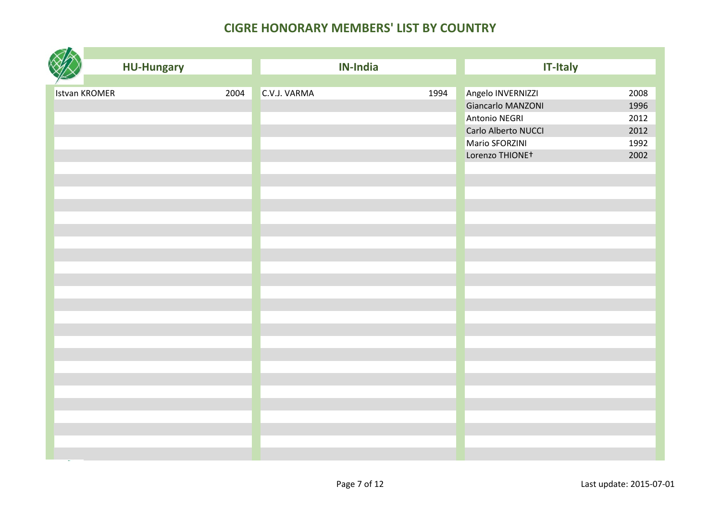|                      | <b>HU-Hungary</b> |      |              | <b>IN-India</b> |      | <b>IT-Italy</b>             |      |
|----------------------|-------------------|------|--------------|-----------------|------|-----------------------------|------|
|                      |                   |      |              |                 |      |                             |      |
| <b>Istvan KROMER</b> |                   | 2004 | C.V.J. VARMA |                 | 1994 | Angelo INVERNIZZI           | 2008 |
|                      |                   |      |              |                 |      | Giancarlo MANZONI           | 1996 |
|                      |                   |      |              |                 |      | Antonio NEGRI               | 2012 |
|                      |                   |      |              |                 |      | Carlo Alberto NUCCI         | 2012 |
|                      |                   |      |              |                 |      | Mario SFORZINI              | 1992 |
|                      |                   |      |              |                 |      | Lorenzo THIONE <sup>+</sup> | 2002 |
|                      |                   |      |              |                 |      |                             |      |
|                      |                   |      |              |                 |      |                             |      |
|                      |                   |      |              |                 |      |                             |      |
|                      |                   |      |              |                 |      |                             |      |
|                      |                   |      |              |                 |      |                             |      |
|                      |                   |      |              |                 |      |                             |      |
|                      |                   |      |              |                 |      |                             |      |
|                      |                   |      |              |                 |      |                             |      |
|                      |                   |      |              |                 |      |                             |      |
|                      |                   |      |              |                 |      |                             |      |
|                      |                   |      |              |                 |      |                             |      |
|                      |                   |      |              |                 |      |                             |      |
|                      |                   |      |              |                 |      |                             |      |
|                      |                   |      |              |                 |      |                             |      |
|                      |                   |      |              |                 |      |                             |      |
|                      |                   |      |              |                 |      |                             |      |
|                      |                   |      |              |                 |      |                             |      |
|                      |                   |      |              |                 |      |                             |      |
|                      |                   |      |              |                 |      |                             |      |
|                      |                   |      |              |                 |      |                             |      |
|                      |                   |      |              |                 |      |                             |      |
|                      |                   |      |              |                 |      |                             |      |
|                      |                   |      |              |                 |      |                             |      |
|                      |                   |      |              |                 |      |                             |      |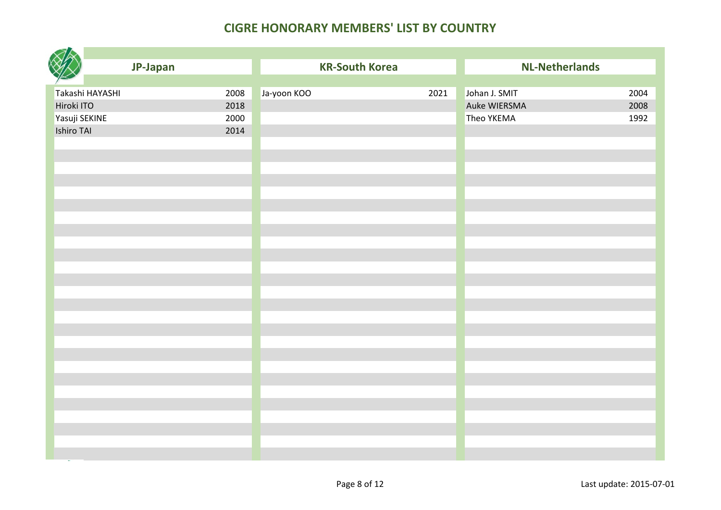|                 | JP-Japan |             | <b>KR-South Korea</b> | <b>NL-Netherlands</b> |      |
|-----------------|----------|-------------|-----------------------|-----------------------|------|
|                 |          |             |                       |                       |      |
| Takashi HAYASHI | 2008     | Ja-yoon KOO | 2021                  | Johan J. SMIT         | 2004 |
| Hiroki ITO      | 2018     |             |                       | Auke WIERSMA          | 2008 |
| Yasuji SEKINE   | 2000     |             |                       | Theo YKEMA            | 1992 |
| Ishiro TAI      | 2014     |             |                       |                       |      |
|                 |          |             |                       |                       |      |
|                 |          |             |                       |                       |      |
|                 |          |             |                       |                       |      |
|                 |          |             |                       |                       |      |
|                 |          |             |                       |                       |      |
|                 |          |             |                       |                       |      |
|                 |          |             |                       |                       |      |
|                 |          |             |                       |                       |      |
|                 |          |             |                       |                       |      |
|                 |          |             |                       |                       |      |
|                 |          |             |                       |                       |      |
|                 |          |             |                       |                       |      |
|                 |          |             |                       |                       |      |
|                 |          |             |                       |                       |      |
|                 |          |             |                       |                       |      |
|                 |          |             |                       |                       |      |
|                 |          |             |                       |                       |      |
|                 |          |             |                       |                       |      |
|                 |          |             |                       |                       |      |
|                 |          |             |                       |                       |      |
|                 |          |             |                       |                       |      |
|                 |          |             |                       |                       |      |
|                 |          |             |                       |                       |      |
|                 |          |             |                       |                       |      |
|                 |          |             |                       |                       |      |
|                 |          |             |                       |                       |      |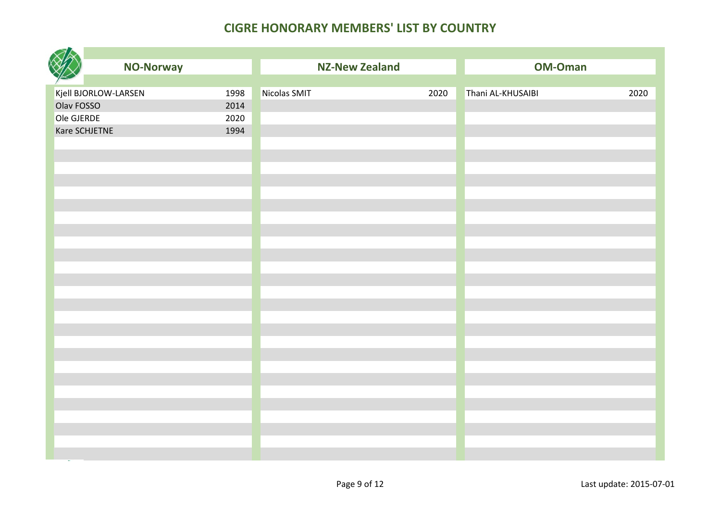|                      | <b>NO-Norway</b> |      | <b>NZ-New Zealand</b> |      | <b>OM-Oman</b>    |      |
|----------------------|------------------|------|-----------------------|------|-------------------|------|
|                      |                  |      |                       |      |                   |      |
| Kjell BJORLOW-LARSEN |                  | 1998 | Nicolas SMIT          | 2020 | Thani AL-KHUSAIBI | 2020 |
| Olav FOSSO           |                  | 2014 |                       |      |                   |      |
| Ole GJERDE           |                  | 2020 |                       |      |                   |      |
| Kare SCHJETNE        |                  | 1994 |                       |      |                   |      |
|                      |                  |      |                       |      |                   |      |
|                      |                  |      |                       |      |                   |      |
|                      |                  |      |                       |      |                   |      |
|                      |                  |      |                       |      |                   |      |
|                      |                  |      |                       |      |                   |      |
|                      |                  |      |                       |      |                   |      |
|                      |                  |      |                       |      |                   |      |
|                      |                  |      |                       |      |                   |      |
|                      |                  |      |                       |      |                   |      |
|                      |                  |      |                       |      |                   |      |
|                      |                  |      |                       |      |                   |      |
|                      |                  |      |                       |      |                   |      |
|                      |                  |      |                       |      |                   |      |
|                      |                  |      |                       |      |                   |      |
|                      |                  |      |                       |      |                   |      |
|                      |                  |      |                       |      |                   |      |
|                      |                  |      |                       |      |                   |      |
|                      |                  |      |                       |      |                   |      |
|                      |                  |      |                       |      |                   |      |
|                      |                  |      |                       |      |                   |      |
|                      |                  |      |                       |      |                   |      |
|                      |                  |      |                       |      |                   |      |
|                      |                  |      |                       |      |                   |      |
|                      |                  |      |                       |      |                   |      |
|                      |                  |      |                       |      |                   |      |
|                      |                  |      |                       |      |                   |      |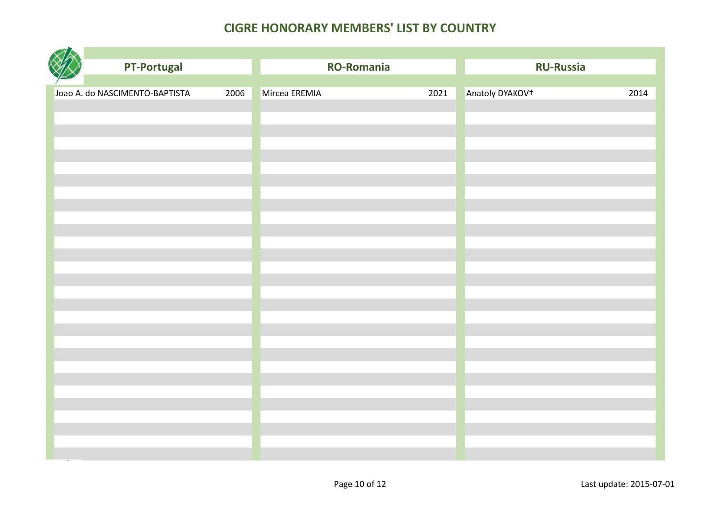| <b>PT-Portugal</b>             |      | <b>RO-Romania</b> |      | <b>RU-Russia</b>            |      |
|--------------------------------|------|-------------------|------|-----------------------------|------|
|                                |      |                   |      |                             |      |
| Joao A. do NASCIMENTO-BAPTISTA | 2006 | Mircea EREMIA     | 2021 | Anatoly DYAKOV <sup>+</sup> | 2014 |
|                                |      |                   |      |                             |      |
|                                |      |                   |      |                             |      |
|                                |      |                   |      |                             |      |
|                                |      |                   |      |                             |      |
|                                |      |                   |      |                             |      |
|                                |      |                   |      |                             |      |
|                                |      |                   |      |                             |      |
|                                |      |                   |      |                             |      |
|                                |      |                   |      |                             |      |
|                                |      |                   |      |                             |      |
|                                |      |                   |      |                             |      |
|                                |      |                   |      |                             |      |
|                                |      |                   |      |                             |      |
|                                |      |                   |      |                             |      |
|                                |      |                   |      |                             |      |
|                                |      |                   |      |                             |      |
|                                |      |                   |      |                             |      |
|                                |      |                   |      |                             |      |
|                                |      |                   |      |                             |      |
|                                |      |                   |      |                             |      |
|                                |      |                   |      |                             |      |
|                                |      |                   |      |                             |      |
|                                |      |                   |      |                             |      |
|                                |      |                   |      |                             |      |
|                                |      |                   |      |                             |      |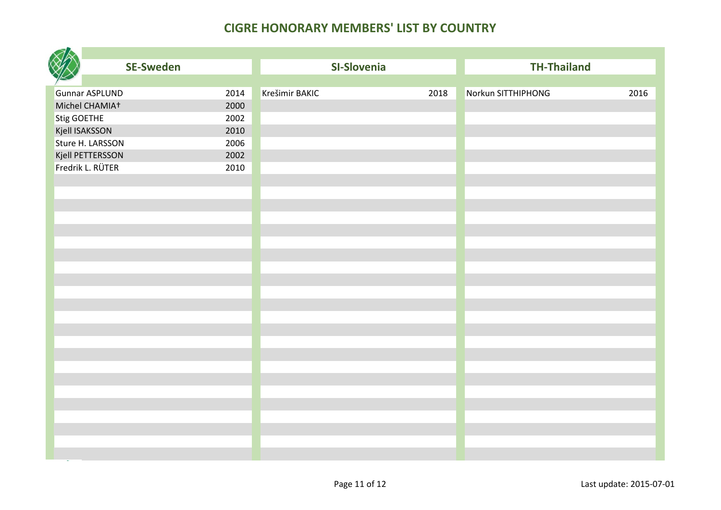|             | <b>SE-Sweden</b>                        |              | SI-Slovenia    |      | <b>TH-Thailand</b> |      |
|-------------|-----------------------------------------|--------------|----------------|------|--------------------|------|
|             |                                         |              | Krešimir BAKIC |      |                    |      |
|             | <b>Gunnar ASPLUND</b><br>Michel CHAMIA+ | 2014<br>2000 |                | 2018 | Norkun SITTHIPHONG | 2016 |
|             |                                         | 2002         |                |      |                    |      |
| Stig GOETHE | Kjell ISAKSSON                          | 2010         |                |      |                    |      |
|             | Sture H. LARSSON                        | 2006         |                |      |                    |      |
|             | Kjell PETTERSSON                        | 2002         |                |      |                    |      |
|             | Fredrik L. RÜTER                        | 2010         |                |      |                    |      |
|             |                                         |              |                |      |                    |      |
|             |                                         |              |                |      |                    |      |
|             |                                         |              |                |      |                    |      |
|             |                                         |              |                |      |                    |      |
|             |                                         |              |                |      |                    |      |
|             |                                         |              |                |      |                    |      |
|             |                                         |              |                |      |                    |      |
|             |                                         |              |                |      |                    |      |
|             |                                         |              |                |      |                    |      |
|             |                                         |              |                |      |                    |      |
|             |                                         |              |                |      |                    |      |
|             |                                         |              |                |      |                    |      |
|             |                                         |              |                |      |                    |      |
|             |                                         |              |                |      |                    |      |
|             |                                         |              |                |      |                    |      |
|             |                                         |              |                |      |                    |      |
|             |                                         |              |                |      |                    |      |
|             |                                         |              |                |      |                    |      |
|             |                                         |              |                |      |                    |      |
|             |                                         |              |                |      |                    |      |
|             |                                         |              |                |      |                    |      |
|             |                                         |              |                |      |                    |      |
|             |                                         |              |                |      |                    |      |